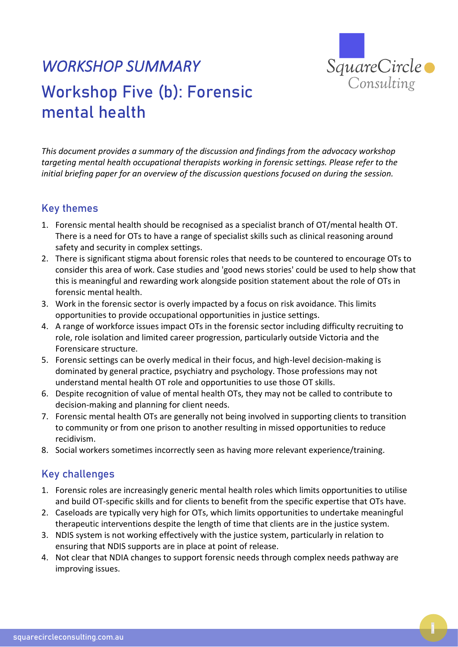

## *WORKSHOP SUMMARY*  Workshop Five (b): Forensic mental health

*This document provides a summary of the discussion and findings from the advocacy workshop targeting mental health occupational therapists working in forensic settings. Please refer to the initial briefing paper for an overview of the discussion questions focused on during the session.* 

## Key themes

- 1. Forensic mental health should be recognised as a specialist branch of OT/mental health OT. There is a need for OTs to have a range of specialist skills such as clinical reasoning around safety and security in complex settings.
- 2. There is significant stigma about forensic roles that needs to be countered to encourage OTs to consider this area of work. Case studies and 'good news stories' could be used to help show that this is meaningful and rewarding work alongside position statement about the role of OTs in forensic mental health.
- 3. Work in the forensic sector is overly impacted by a focus on risk avoidance. This limits opportunities to provide occupational opportunities in justice settings.
- 4. A range of workforce issues impact OTs in the forensic sector including difficulty recruiting to role, role isolation and limited career progression, particularly outside Victoria and the Forensicare structure.
- 5. Forensic settings can be overly medical in their focus, and high-level decision-making is dominated by general practice, psychiatry and psychology. Those professions may not understand mental health OT role and opportunities to use those OT skills.
- 6. Despite recognition of value of mental health OTs, they may not be called to contribute to decision-making and planning for client needs.
- 7. Forensic mental health OTs are generally not being involved in supporting clients to transition to community or from one prison to another resulting in missed opportunities to reduce recidivism.
- 8. Social workers sometimes incorrectly seen as having more relevant experience/training.

## Key challenges

- 1. Forensic roles are increasingly generic mental health roles which limits opportunities to utilise and build OT-specific skills and for clients to benefit from the specific expertise that OTs have.
- 2. Caseloads are typically very high for OTs, which limits opportunities to undertake meaningful therapeutic interventions despite the length of time that clients are in the justice system.
- 3. NDIS system is not working effectively with the justice system, particularly in relation to ensuring that NDIS supports are in place at point of release.
- 4. Not clear that NDIA changes to support forensic needs through complex needs pathway are improving issues.